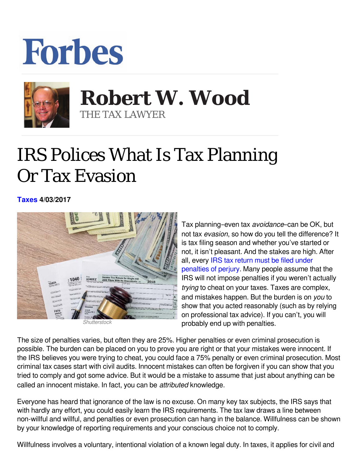## **Forbes**



## **Robert W. Wood Robert W. Wood** THE TAX LAWYER THE TAX LAWYER

## IRS Polices What Is Tax Planning Or Tax Evasion

**[Taxes](https://www.forbes.com/taxes) 4/03/2017** 



*Shutterstock*

Tax planning–even tax avoidance–can be OK, but not tax evasion, so how do you tell the difference? It is tax filing season and whether you've started or not, it isn't pleasant. And the stakes are high. After all, every [IRS tax return must be filed under](https://www.google.com/url?sa=t&rct=j&q=&esrc=s&source=web&cd=1&cad=rja&uact=8&ved=0ahUKEwiby_3Tp4bTAhWFTCYKHRBaCycQFggaMAA&url=http://www.forbes.com/sites/robertwood/2017/02/15/fudging-your-taxes-irs-returns-carry-penalties-of-perjury/&usg=AFQjCNHmGevIMrohQ1ErMLbGrKGjyxlUEA&bvm=bv.151325232,d.eWE) [penalties of perjury.](https://www.google.com/url?sa=t&rct=j&q=&esrc=s&source=web&cd=1&cad=rja&uact=8&ved=0ahUKEwiby_3Tp4bTAhWFTCYKHRBaCycQFggaMAA&url=http://www.forbes.com/sites/robertwood/2017/02/15/fudging-your-taxes-irs-returns-carry-penalties-of-perjury/&usg=AFQjCNHmGevIMrohQ1ErMLbGrKGjyxlUEA&bvm=bv.151325232,d.eWE) Many people assume that the IRS will not impose penalties if you weren't actually *trying* to cheat on your taxes. Taxes are complex, and mistakes happen. But the burden is on you to show that you acted reasonably (such as by relying on professional tax advice). If you can't, you will probably end up with penalties.

The size of penalties varies, but often they are 25%. Higher penalties or even criminal prosecution is possible. The burden can be placed on you to prove you are right or that your mistakes were innocent. If the IRS believes you were trying to cheat, you could face a 75% penalty or even criminal prosecution. Most criminal tax cases start with civil audits. Innocent mistakes can often be forgiven if you can show that you tried to comply and got some advice. But it would be a mistake to assume that just about anything can be called an innocent mistake. In fact, you can be *attributed* knowledge.

Everyone has heard that ignorance of the law is no excuse. On many key tax subjects, the IRS says that with hardly any effort, you could easily learn the IRS requirements. The tax law draws a line between non-willful and willful, and penalties or even prosecution can hang in the balance. Willfulness can be shown by your knowledge of reporting requirements and your conscious choice not to comply.

Willfulness involves a voluntary, intentional violation of a known legal duty. In taxes, it applies for civil and